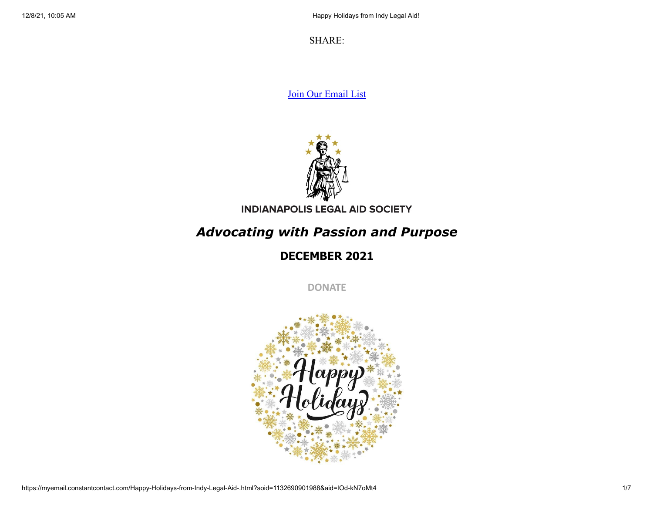SHARE:

[Join Our Email List](https://visitor.constantcontact.com/d.jsp?m=1132690901988&p=oi)



**INDIANAPOLIS LEGAL AID SOCIETY** 

## *Advocating with Passion and Purpose*

#### **DECEMBER 2021**

**[DONATE](https://www.indylas.org/support-legal-aid)**

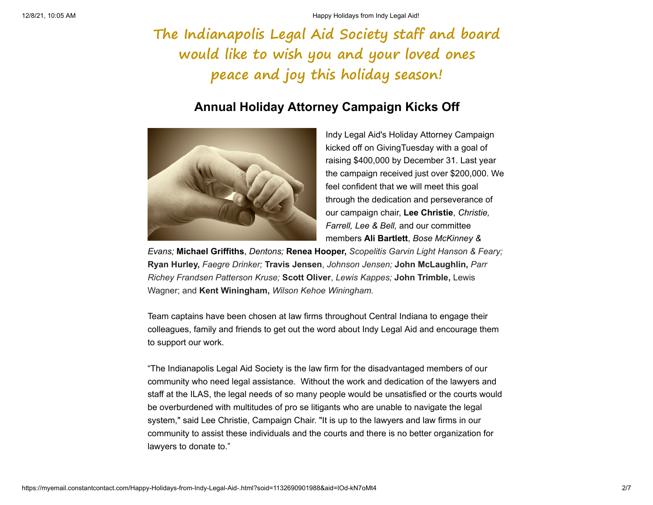**The Indianapolis Legal Aid Society staff and board would like to wish you and your loved ones peace and joy this holiday season!**

### **Annual Holiday Attorney Campaign Kicks Off**



Indy Legal Aid's Holiday Attorney Campaign kicked off on GivingTuesday with a goal of raising \$400,000 by December 31. Last year the campaign received just over \$200,000. We feel confident that we will meet this goal through the dedication and perseverance of our campaign chair, **Lee Christie**, *Christie, Farrell, Lee & Bell,* and our committee members **Ali Bartlett**, *Bose McKinney &*

*Evans;* **Michael Griffiths**, *Dentons;* **Renea Hooper,** *Scopelitis Garvin Light Hanson & Feary;* **Ryan Hurley,** *Faegre Drinker;* **Travis Jensen**, *Johnson Jensen;* **John McLaughlin,** *Parr Richey Frandsen Patterson Kruse;* **Scott Oliver**, *Lewis Kappes;* **John Trimble,** Lewis Wagner; and **Kent Winingham,** *Wilson Kehoe Winingham.*

Team captains have been chosen at law firms throughout Central Indiana to engage their colleagues, family and friends to get out the word about Indy Legal Aid and encourage them to support our work.

"The Indianapolis Legal Aid Society is the law firm for the disadvantaged members of our community who need legal assistance. Without the work and dedication of the lawyers and staff at the ILAS, the legal needs of so many people would be unsatisfied or the courts would be overburdened with multitudes of pro se litigants who are unable to navigate the legal system," said Lee Christie, Campaign Chair. "It is up to the lawyers and law firms in our community to assist these individuals and the courts and there is no better organization for lawyers to donate to."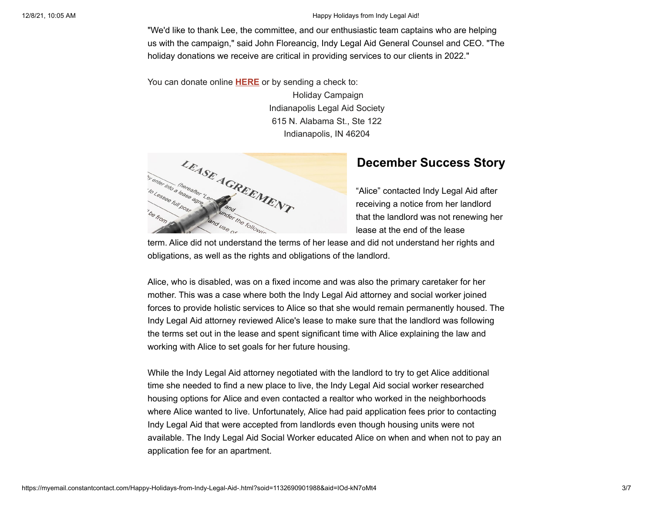12/8/21, 10:05 AM Happy Holidays from Indy Legal Aid!

"We'd like to thank Lee, the committee, and our enthusiastic team captains who are helping us with the campaign," said John Floreancig, Indy Legal Aid General Counsel and CEO. "The holiday donations we receive are critical in providing services to our clients in 2022."

You can donate online **[HERE](https://interland3.donorperfect.net/weblink/weblink.aspx?name=E5192&id=1)** or by sending a check to:

Holiday Campaign Indianapolis Legal Aid Society 615 N. Alabama St., Ste 122 Indianapolis, IN 46204



#### **December Success Story**

"Alice" contacted Indy Legal Aid after receiving a notice from her landlord that the landlord was not renewing her lease at the end of the lease

term. Alice did not understand the terms of her lease and did not understand her rights and obligations, as well as the rights and obligations of the landlord.

Alice, who is disabled, was on a fixed income and was also the primary caretaker for her mother. This was a case where both the Indy Legal Aid attorney and social worker joined forces to provide holistic services to Alice so that she would remain permanently housed. The Indy Legal Aid attorney reviewed Alice's lease to make sure that the landlord was following the terms set out in the lease and spent significant time with Alice explaining the law and working with Alice to set goals for her future housing.

While the Indy Legal Aid attorney negotiated with the landlord to try to get Alice additional time she needed to find a new place to live, the Indy Legal Aid social worker researched housing options for Alice and even contacted a realtor who worked in the neighborhoods where Alice wanted to live. Unfortunately, Alice had paid application fees prior to contacting Indy Legal Aid that were accepted from landlords even though housing units were not available. The Indy Legal Aid Social Worker educated Alice on when and when not to pay an application fee for an apartment.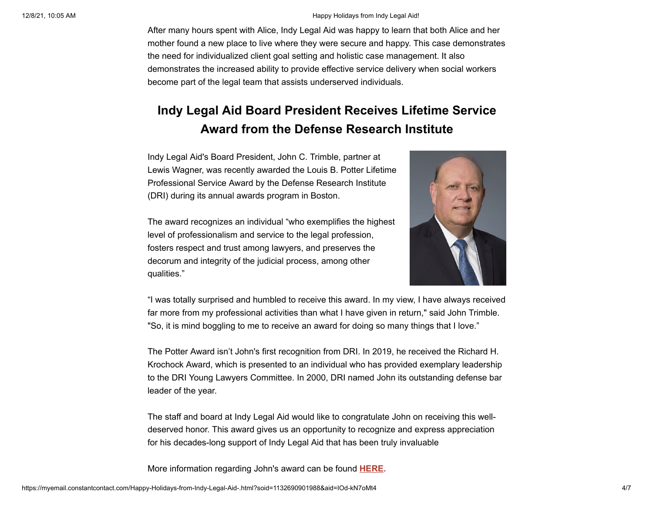12/8/21, 10:05 AM Happy Holidays from Indy Legal Aid!

After many hours spent with Alice, Indy Legal Aid was happy to learn that both Alice and her mother found a new place to live where they were secure and happy. This case demonstrates the need for individualized client goal setting and holistic case management. It also demonstrates the increased ability to provide effective service delivery when social workers become part of the legal team that assists underserved individuals.

## **Indy Legal Aid Board President Receives Lifetime Service Award from the Defense Research Institute**

Indy Legal Aid's Board President, John C. Trimble, partner at Lewis Wagner, was recently awarded the Louis B. Potter Lifetime Professional Service Award by the Defense Research Institute (DRI) during its annual awards program in Boston.

The award recognizes an individual "who exemplifies the highest level of professionalism and service to the legal profession, fosters respect and trust among lawyers, and preserves the decorum and integrity of the judicial process, among other qualities."



"I was totally surprised and humbled to receive this award. In my view, I have always received far more from my professional activities than what I have given in return," said John Trimble. "So, it is mind boggling to me to receive an award for doing so many things that I love."

The Potter Award isn't John's first recognition from DRI. In 2019, he received the Richard H. Krochock Award, which is presented to an individual who has provided exemplary leadership to the DRI Young Lawyers Committee. In 2000, DRI named John its outstanding defense bar leader of the year.

The staff and board at Indy Legal Aid would like to congratulate John on receiving this welldeserved honor. This award gives us an opportunity to recognize and express appreciation for his decades-long support of Indy Legal Aid that has been truly invaluable

More information regarding John's award can be found **[HERE.](https://www.theindianalawyer.com/articles/indy-lawyer-presented-lifetime-service-award-from-dri)**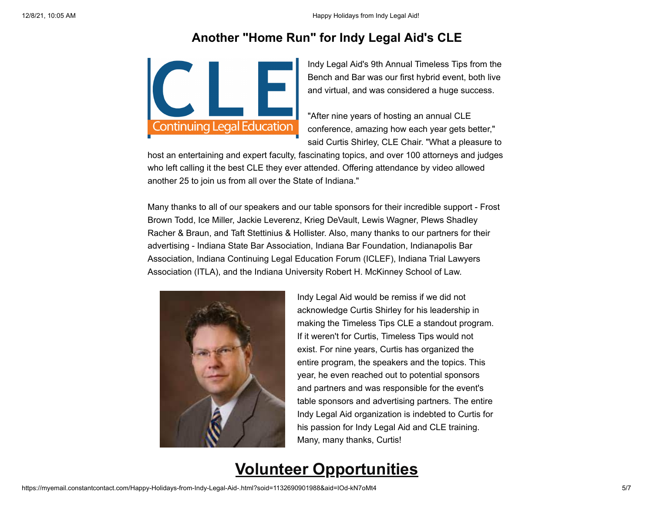### **Another "Home Run" for Indy Legal Aid's CLE**



Indy Legal Aid's 9th Annual Timeless Tips from the Bench and Bar was our first hybrid event, both live and virtual, and was considered a huge success.

"After nine years of hosting an annual CLE conference, amazing how each year gets better," said Curtis Shirley, CLE Chair. "What a pleasure to

host an entertaining and expert faculty, fascinating topics, and over 100 attorneys and judges who left calling it the best CLE they ever attended. Offering attendance by video allowed another 25 to join us from all over the State of Indiana."

Many thanks to all of our speakers and our table sponsors for their incredible support - Frost Brown Todd, Ice Miller, Jackie Leverenz, Krieg DeVault, Lewis Wagner, Plews Shadley Racher & Braun, and Taft Stettinius & Hollister. Also, many thanks to our partners for their advertising - Indiana State Bar Association, Indiana Bar Foundation, Indianapolis Bar Association, Indiana Continuing Legal Education Forum (ICLEF), Indiana Trial Lawyers Association (ITLA), and the Indiana University Robert H. McKinney School of Law.



Indy Legal Aid would be remiss if we did not acknowledge Curtis Shirley for his leadership in making the Timeless Tips CLE a standout program. If it weren't for Curtis, Timeless Tips would not exist. For nine years, Curtis has organized the entire program, the speakers and the topics. This year, he even reached out to potential sponsors and partners and was responsible for the event's table sponsors and advertising partners. The entire Indy Legal Aid organization is indebted to Curtis for his passion for Indy Legal Aid and CLE training. Many, many thanks, Curtis!

# **Volunteer Opportunities**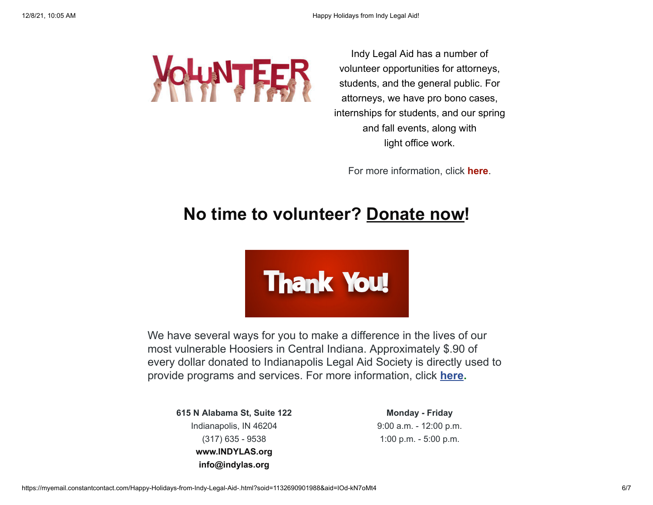

Indy Legal Aid has a number of volunteer opportunities for attorneys, students, and the general public. For attorneys, we have pro bono cases, internships for students, and our spring and fall events, along with light office work.

For more information, click **[here](https://www.indylas.org/volunteering)**[.](https://www.indylas.org/volunteering)

# **No time to volunteer? [Donate now](https://interland3.donorperfect.net/weblink/weblink.aspx?name=E5192&id=1)!**



We have several ways for you to make a difference in the lives of our most vulnerable Hoosiers in Central Indiana. Approximately \$.90 of every dollar donated to Indianapolis Legal Aid Society is directly used to provide programs and services. For more information, click **[here](https://www.indylas.org/support-legal-aid).**

**615 N Alabama St, Suite 122** Indianapolis, IN 46204 (317) 635 - 9538 **[www.INDYLAS.org](http://www.indylas.org/) [info@indylas.org](mailto:ginaw@indylas.org)**

**Monday - Friday** 9:00 a.m. - 12:00 p.m. 1:00 p.m. - 5:00 p.m.